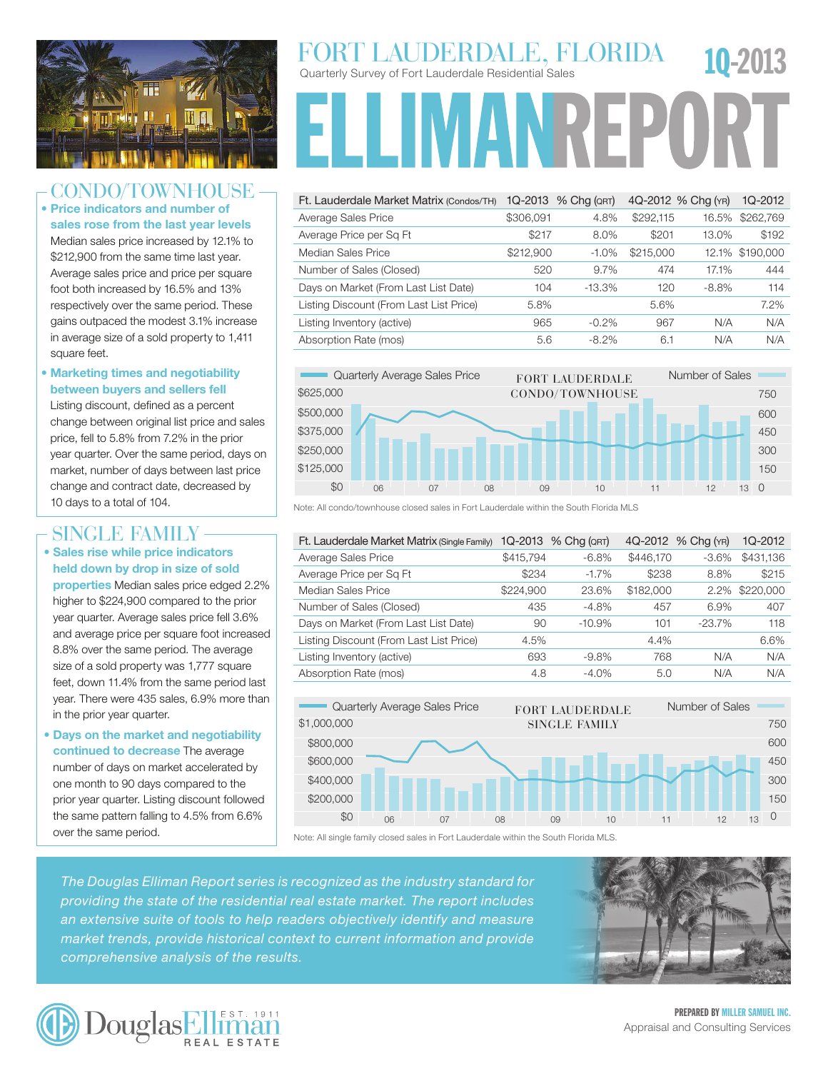

### CONDO/TOWNHOI

• Price indicators and number of sales rose from the last year levels Median sales price increased by 12.1% to \$212,900 from the same time last year. Average sales price and price per square foot both increased by 16.5% and 13% respectively over the same period. These gains outpaced the modest 3.1% increase in average size of a sold property to 1,411 square feet.

#### • Marketing times and negotiability between buyers and sellers fell

Listing discount, defined as a percent change between original list price and sales price, fell to 5.8% from 7.2% in the prior year quarter. Over the same period, days on market, number of days between last price change and contract date, decreased by 10 days to a total of 104.

### SINGLE FAMILY -

• Sales rise while price indicators held down by drop in size of sold properties Median sales price edged 2.2% higher to \$224,900 compared to the prior year quarter. Average sales price fell 3.6% and average price per square foot increased 8.8% over the same period. The average size of a sold property was 1,777 square feet, down 11.4% from the same period last year. There were 435 sales, 6.9% more than in the prior year quarter.

• Days on the market and negotiability continued to decrease The average number of days on market accelerated by one month to 90 days compared to the prior year quarter. Listing discount followed the same pattern falling to 4.5% from 6.6% over the same period.

# Quarterly Survey of Fort Lauderdale Residential Sales FORT LAUDERDALE, FLORIDA 10-2013

**FLLIMANREPOL** 

| Ft. Lauderdale Market Matrix (Condos/TH) |           | 1Q-2013 % Chg (QRT) |           | 4Q-2012 % Chg (YR) | 1Q-2012         |
|------------------------------------------|-----------|---------------------|-----------|--------------------|-----------------|
| Average Sales Price                      | \$306,091 | 4.8%                | \$292,115 | 16.5%              | \$262,769       |
| Average Price per Sq Ft                  | \$217     | 8.0%                | \$201     | 13.0%              | \$192           |
| Median Sales Price                       | \$212,900 | $-1.0\%$            | \$215,000 |                    | 12.1% \$190.000 |
| Number of Sales (Closed)                 | 520       | 9.7%                | 474       | 17.1%              | 444             |
| Days on Market (From Last List Date)     | 104       | $-13.3\%$           | 120       | $-8.8%$            | 114             |
| Listing Discount (From Last List Price)  | 5.8%      |                     | 5.6%      |                    | 7.2%            |
| Listing Inventory (active)               | 965       | $-0.2\%$            | 967       | N/A                | N/A             |
| Absorption Rate (mos)                    | 5.6       | $-8.2\%$            | 6.1       | N/A                | N/A             |



Note: All condo/townhouse closed sales in Fort Lauderdale within the South Florida MLS

| Ft. Lauderdale Market Matrix (Single Family) | 1Q-2013   | $%$ Chg ( $QRT$ ) |           | 4Q-2012 % Chg (YR) | 1Q-2012   |
|----------------------------------------------|-----------|-------------------|-----------|--------------------|-----------|
| Average Sales Price                          | \$415,794 | $-6.8%$           | \$446.170 | $-3.6\%$           | \$431,136 |
| Average Price per Sq Ft                      | \$234     | $-1.7%$           | \$238     | 8.8%               | \$215     |
| Median Sales Price                           | \$224,900 | 23.6%             | \$182,000 | $2.2\%$            | \$220,000 |
| Number of Sales (Closed)                     | 435       | $-4.8%$           | 457       | 6.9%               | 407       |
| Days on Market (From Last List Date)         | 90        | $-10.9%$          | 101       | $-23.7%$           | 118       |
| Listing Discount (From Last List Price)      | 4.5%      |                   | 4.4%      |                    | 6.6%      |
| Listing Inventory (active)                   | 693       | $-9.8\%$          | 768       | N/A                | N/A       |
| Absorption Rate (mos)                        | 4.8       | $-4.0%$           | 5.0       | N/A                | N/A       |



Note: All single family closed sales in Fort Lauderdale within the South Florida MLS.

The Douglas Elliman Report series is recognized as the industry standard for **Contract Contract Contract Prop** providing the state of the residential real estate market. The report includes **Conditional Conditions** market trends, provide historical context to current information and provide an extensive suite of tools to help readers objectively identify and measure **Alternative Contact Family** *comprehensive analysis of the results.*





**PREPARED BY MILLER SAMUEL INC.** Appraisal and Consulting Services